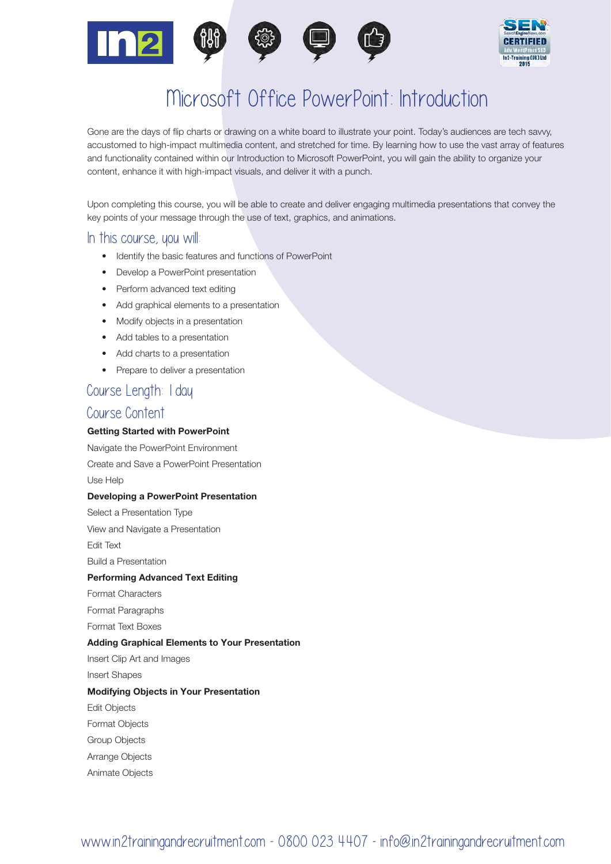



# Microsoft Office PowerPoint: Introduction

Gone are the days of flip charts or drawing on a white board to illustrate your point. Today's audiences are tech savvy, accustomed to high-impact multimedia content, and stretched for time. By learning how to use the vast array of features and functionality contained within our Introduction to Microsoft PowerPoint, you will gain the ability to organize your content, enhance it with high-impact visuals, and deliver it with a punch.

Upon completing this course, you will be able to create and deliver engaging multimedia presentations that convey the key points of your message through the use of text, graphics, and animations.

#### In this course, you will

- Identify the basic features and functions of PowerPoint
- Develop a PowerPoint presentation
- Perform advanced text editing
- Add graphical elements to a presentation
- Modify objects in a presentation
- Add tables to a presentation
- Add charts to a presentation
- Prepare to deliver a presentation

### Course Length: 1 day

#### Course Content

#### Getting Started with PowerPoint

Navigate the PowerPoint Environment Create and Save a PowerPoint Presentation Use Help Developing a PowerPoint Presentation Select a Presentation Type View and Navigate a Presentation Edit Text Build a Presentation Performing Advanced Text Editing Format Characters Format Paragraphs Format Text Boxes Adding Graphical Elements to Your Presentation Insert Clip Art and Images Insert Shapes Modifying Objects in Your Presentation Edit Objects Format Objects Group Objects Arrange Objects Animate Objects